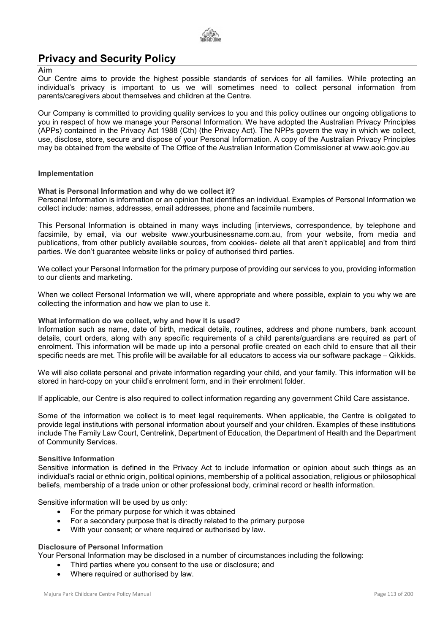

# Privacy and Security Policy

## Aim

Our Centre aims to provide the highest possible standards of services for all families. While protecting an individual's privacy is important to us we will sometimes need to collect personal information from parents/caregivers about themselves and children at the Centre.

Our Company is committed to providing quality services to you and this policy outlines our ongoing obligations to you in respect of how we manage your Personal Information. We have adopted the Australian Privacy Principles (APPs) contained in the Privacy Act 1988 (Cth) (the Privacy Act). The NPPs govern the way in which we collect, use, disclose, store, secure and dispose of your Personal Information. A copy of the Australian Privacy Principles may be obtained from the website of The Office of the Australian Information Commissioner at www.aoic.gov.au

# Implementation

# What is Personal Information and why do we collect it?

Personal Information is information or an opinion that identifies an individual. Examples of Personal Information we collect include: names, addresses, email addresses, phone and facsimile numbers.

This Personal Information is obtained in many ways including [interviews, correspondence, by telephone and facsimile, by email, via our website www.yourbusinessname.com.au, from your website, from media and publications, from other publicly available sources, from cookies- delete all that aren't applicable] and from third parties. We don't guarantee website links or policy of authorised third parties.

We collect your Personal Information for the primary purpose of providing our services to you, providing information to our clients and marketing.

When we collect Personal Information we will, where appropriate and where possible, explain to you why we are collecting the information and how we plan to use it.

# What information do we collect, why and how it is used?

Information such as name, date of birth, medical details, routines, address and phone numbers, bank account details, court orders, along with any specific requirements of a child parents/guardians are required as part of enrolment. This information will be made up into a personal profile created on each child to ensure that all their specific needs are met. This profile will be available for all educators to access via our software package – Qikkids.

We will also collate personal and private information regarding your child, and your family. This information will be stored in hard-copy on your child's enrolment form, and in their enrolment folder.

If applicable, our Centre is also required to collect information regarding any government Child Care assistance.

Some of the information we collect is to meet legal requirements. When applicable, the Centre is obligated to provide legal institutions with personal information about yourself and your children. Examples of these institutions include The Family Law Court, Centrelink, Department of Education, the Department of Health and the Department of Community Services.

# Sensitive Information

Sensitive information is defined in the Privacy Act to include information or opinion about such things as an individual's racial or ethnic origin, political opinions, membership of a political association, religious or philosophical beliefs, membership of a trade union or other professional body, criminal record or health information.

Sensitive information will be used by us only:

- For the primary purpose for which it was obtained
- For a secondary purpose that is directly related to the primary purpose
- With your consent; or where required or authorised by law.

# Disclosure of Personal Information

Your Personal Information may be disclosed in a number of circumstances including the following:

- Third parties where you consent to the use or disclosure; and
- Where required or authorised by law.